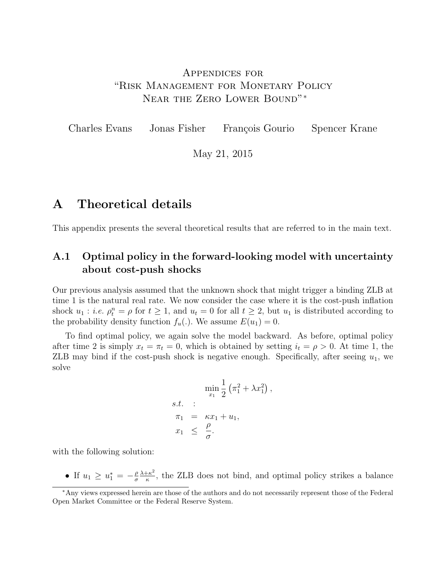## <span id="page-0-0"></span>Appendices for "Risk Management for Monetary Policy Near the Zero Lower Bound"<sup>∗</sup>

Charles Evans Jonas Fisher François Gourio Spencer Krane

May 21, 2015

## A Theoretical details

This appendix presents the several theoretical results that are referred to in the main text.

## A.1 Optimal policy in the forward-looking model with uncertainty about cost-push shocks

Our previous analysis assumed that the unknown shock that might trigger a binding ZLB at time 1 is the natural real rate. We now consider the case where it is the cost-push inflation shock  $u_1 : i.e. \rho_t^n = \rho$  for  $t \geq 1$ , and  $u_t = 0$  for all  $t \geq 2$ , but  $u_1$  is distributed according to the probability density function  $f_u(.)$ . We assume  $E(u_1) = 0$ .

To find optimal policy, we again solve the model backward. As before, optimal policy after time 2 is simply  $x_t = \pi_t = 0$ , which is obtained by setting  $i_t = \rho > 0$ . At time 1, the ZLB may bind if the cost-push shock is negative enough. Specifically, after seeing  $u_1$ , we solve

$$
\min_{x_1} \frac{1}{2} \left( \pi_1^2 + \lambda x_1^2 \right),
$$
  
s.t. :  

$$
\pi_1 = \kappa x_1 + u_1,
$$
  

$$
x_1 \leq \frac{\rho}{\sigma}.
$$

with the following solution:

• If  $u_1 \geq u_1^* = -\frac{\rho}{\sigma}$ σ  $\lambda + \kappa^2$  $\frac{f k^2}{\kappa}$ , the ZLB does not bind, and optimal policy strikes a balance

<sup>∗</sup>Any views expressed herein are those of the authors and do not necessarily represent those of the Federal Open Market Committee or the Federal Reserve System.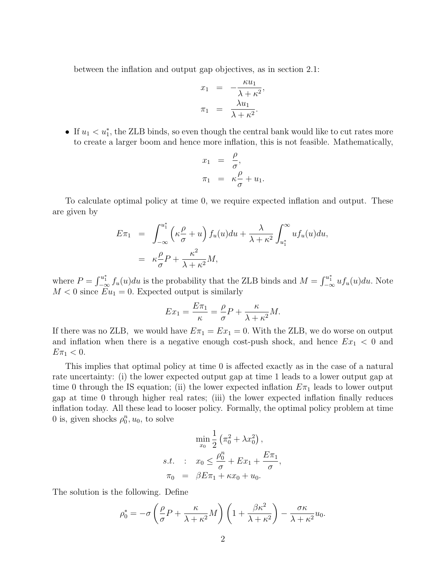between the inflation and output gap objectives, as in section 2.1:

$$
x_1 = -\frac{\kappa u_1}{\lambda + \kappa^2},
$$
  

$$
\pi_1 = \frac{\lambda u_1}{\lambda + \kappa^2}.
$$

• If  $u_1 < u_1^*$ , the ZLB binds, so even though the central bank would like to cut rates more to create a larger boom and hence more inflation, this is not feasible. Mathematically,

$$
x_1 = \frac{\rho}{\sigma},
$$
  

$$
\pi_1 = \kappa \frac{\rho}{\sigma} + u_1.
$$

To calculate optimal policy at time 0, we require expected inflation and output. These are given by

$$
E\pi_1 = \int_{-\infty}^{u_1^*} \left(\kappa \frac{\rho}{\sigma} + u\right) f_u(u) du + \frac{\lambda}{\lambda + \kappa^2} \int_{u_1^*}^{\infty} u f_u(u) du,
$$
  

$$
= \kappa \frac{\rho}{\sigma} P + \frac{\kappa^2}{\lambda + \kappa^2} M,
$$

where  $P = \int_{-\infty}^{u_1^*} f_u(u) du$  is the probability that the ZLB binds and  $M = \int_{-\infty}^{u_1^*} u f_u(u) du$ . Note  $M < 0$  since  $Eu_1 = 0$ . Expected output is similarly

$$
Ex_1 = \frac{E\pi_1}{\kappa} = \frac{\rho}{\sigma}P + \frac{\kappa}{\lambda + \kappa^2}M.
$$

If there was no ZLB, we would have  $E\pi_1 = Ex_1 = 0$ . With the ZLB, we do worse on output and inflation when there is a negative enough cost-push shock, and hence  $Ex_1 < 0$  and  $E\pi_1 < 0.$ 

This implies that optimal policy at time 0 is affected exactly as in the case of a natural rate uncertainty: (i) the lower expected output gap at time 1 leads to a lower output gap at time 0 through the IS equation; (ii) the lower expected inflation  $E_{\pi_1}$  leads to lower output gap at time 0 through higher real rates; (iii) the lower expected inflation finally reduces inflation today. All these lead to looser policy. Formally, the optimal policy problem at time 0 is, given shocks  $\rho_0^n, u_0$ , to solve

$$
\min_{x_0} \frac{1}{2} \left( \pi_0^2 + \lambda x_0^2 \right),
$$
  
s.t. :  $x_0 \le \frac{\rho_0^n}{\sigma} + Ex_1 + \frac{E\pi_1}{\sigma},$   
 $\pi_0 = \beta E \pi_1 + \kappa x_0 + u_0.$ 

The solution is the following. Define

$$
\rho_0^* = -\sigma \left(\frac{\rho}{\sigma} P + \frac{\kappa}{\lambda + \kappa^2} M\right) \left(1 + \frac{\beta \kappa^2}{\lambda + \kappa^2}\right) - \frac{\sigma \kappa}{\lambda + \kappa^2} u_0.
$$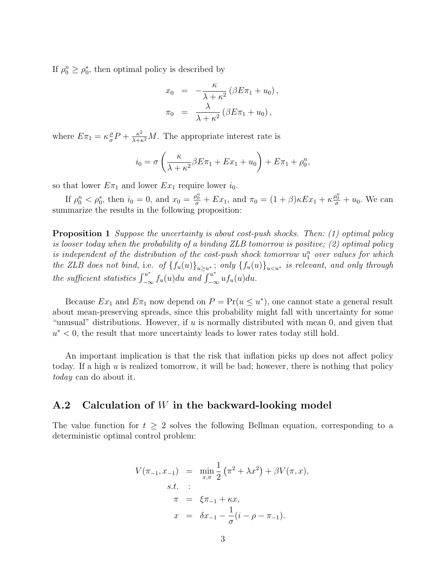If  $\rho_0^n \ge \rho_0^*$ , then optimal policy is described by

$$
x_0 = -\frac{\kappa}{\lambda + \kappa^2} (\beta E \pi_1 + u_0),
$$
  

$$
\pi_0 = \frac{\lambda}{\lambda + \kappa^2} (\beta E \pi_1 + u_0),
$$

where  $E\pi_1 = \kappa \frac{\rho}{\sigma}$  $\frac{\rho}{\sigma}P + \frac{\kappa^2}{\lambda + \kappa^2}M$ . The appropriate interest rate is

$$
i_0 = \sigma \left(\frac{\kappa}{\lambda + \kappa^2} \beta E \pi_1 + E x_1 + u_0\right) + E \pi_1 + \rho_0^n,
$$

so that lower  $E\pi_1$  and lower  $Ex_1$  require lower  $i_0$ .

If  $\rho_0^n < \rho_0^*$ , then  $i_0 = 0$ , and  $x_0 = \frac{\rho_0^n}{\sigma} + Ex_1$ , and  $\pi_0 = (1 + \beta)\kappa Ex_1 + \kappa \frac{\rho_0^n}{\sigma} + u_0$ . We can summarize the results in the following proposition:

Proposition 1 Suppose the uncertainty is about cost-push shocks. Then: (1) optimal policy is looser today when the probability of a binding ZLB tomorrow is positive; (2) optimal policy is independent of the distribution of the cost-push shock tomorrow  $u_1^n$  over values for which the ZLB does not bind, i.e. of  ${f_u(u)}_{u\geq u^*}$ ; only  ${f_u(u)}_{u\leq u^*}$  is relevant, and only through the sufficient statistics  $\int_{-\infty}^{u^*} f_u(u) du$  and  $\int_{-\infty}^{u^*} uf_u(u) du$ .

Because  $Ex_1$  and  $E\pi_1$  now depend on  $P = Pr(u \le u^*)$ , one cannot state a general result about mean-preserving spreads, since this probability might fall with uncertainty for some "unusual" distributions. However, if  $u$  is normally distributed with mean 0, and given that  $u^*$  < 0, the result that more uncertainty leads to lower rates today still hold.

An important implication is that the risk that inflation picks up does not affect policy today. If a high  $u$  is realized tomorrow, it will be bad; however, there is nothing that policy today can do about it.

### A.2 Calculation of W in the backward-looking model

The value function for  $t \geq 2$  solves the following Bellman equation, corresponding to a deterministic optimal control problem:

$$
V(\pi_{-1}, x_{-1}) = \min_{x, \pi} \frac{1}{2} (\pi^2 + \lambda x^2) + \beta V(\pi, x),
$$
  
s.t. :  

$$
\pi = \xi \pi_{-1} + \kappa x,
$$
  

$$
x = \delta x_{-1} - \frac{1}{\sigma} (i - \rho - \pi_{-1}).
$$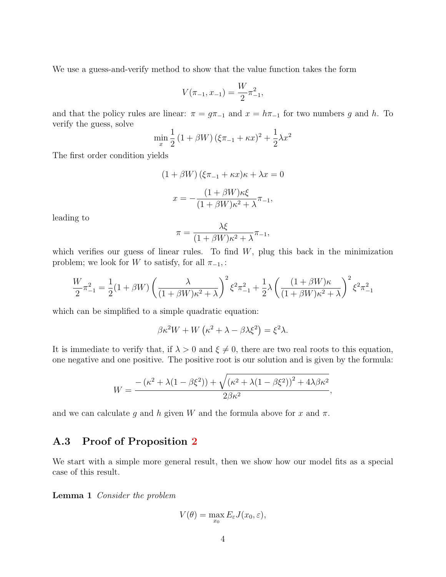We use a guess-and-verify method to show that the value function takes the form

$$
V(\pi_{-1}, x_{-1}) = \frac{W}{2} \pi_{-1}^2,
$$

and that the policy rules are linear:  $\pi = g\pi_{-1}$  and  $x = h\pi_{-1}$  for two numbers g and h. To verify the guess, solve

$$
\min_{x} \frac{1}{2} (1 + \beta W) (\xi \pi_{-1} + \kappa x)^2 + \frac{1}{2} \lambda x^2
$$

The first order condition yields

$$
(1 + \beta W) (\xi \pi_{-1} + \kappa x) \kappa + \lambda x = 0
$$

$$
x = -\frac{(1 + \beta W) \kappa \xi}{(1 + \beta W) \kappa^2 + \lambda} \pi_{-1},
$$

leading to

$$
\pi = \frac{\lambda \xi}{(1 + \beta W)\kappa^2 + \lambda} \pi_{-1},
$$

which verifies our guess of linear rules. To find  $W$ , plug this back in the minimization problem; we look for W to satisfy, for all  $\pi_{-1}$ , :

$$
\frac{W}{2}\pi_{-1}^{2} = \frac{1}{2}(1+\beta W)\left(\frac{\lambda}{(1+\beta W)\kappa^{2}+\lambda}\right)^{2}\xi^{2}\pi_{-1}^{2} + \frac{1}{2}\lambda\left(\frac{(1+\beta W)\kappa}{(1+\beta W)\kappa^{2}+\lambda}\right)^{2}\xi^{2}\pi_{-1}^{2}
$$

which can be simplified to a simple quadratic equation:

$$
\beta \kappa^2 W + W \left( \kappa^2 + \lambda - \beta \lambda \xi^2 \right) = \xi^2 \lambda.
$$

It is immediate to verify that, if  $\lambda > 0$  and  $\xi \neq 0$ , there are two real roots to this equation, one negative and one positive. The positive root is our solution and is given by the formula:

$$
W = \frac{-\left(\kappa^2 + \lambda(1 - \beta\xi^2)\right) + \sqrt{\left(\kappa^2 + \lambda(1 - \beta\xi^2)\right)^2 + 4\lambda\beta\kappa^2}}{2\beta\kappa^2},
$$

and we can calculate g and h given W and the formula above for x and  $\pi$ .

### A.3 Proof of Proposition [2](#page-0-0)

We start with a simple more general result, then we show how our model fits as a special case of this result.

Lemma 1 Consider the problem

$$
V(\theta) = \max_{x_0} E_{\varepsilon} J(x_0, \varepsilon),
$$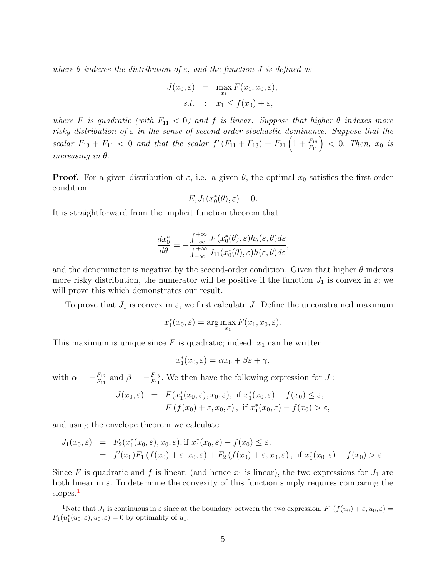where  $\theta$  indexes the distribution of  $\varepsilon$ , and the function J is defined as

$$
J(x_0, \varepsilon) = \max_{x_1} F(x_1, x_0, \varepsilon),
$$
  
s.t. :  $x_1 \le f(x_0) + \varepsilon$ ,

where F is quadratic (with  $F_{11} < 0$ ) and f is linear. Suppose that higher  $\theta$  indexes more risky distribution of  $\varepsilon$  in the sense of second-order stochastic dominance. Suppose that the scalar  $F_{13} + F_{11} < 0$  and that the scalar  $f'(F_{11} + F_{13}) + F_{21}(1 + \frac{F_{13}}{F_{11}}) < 0$ . Then,  $x_0$  is increasing in  $\theta$ .

**Proof.** For a given distribution of  $\varepsilon$ , i.e. a given  $\theta$ , the optimal  $x_0$  satisfies the first-order condition

$$
E_{\varepsilon}J_1(x_0^*(\theta), \varepsilon)=0.
$$

It is straightforward from the implicit function theorem that

$$
\frac{dx_0^*}{d\theta} = -\frac{\int_{-\infty}^{+\infty} J_1(x_0^*(\theta), \varepsilon) h_{\theta}(\varepsilon, \theta) d\varepsilon}{\int_{-\infty}^{+\infty} J_{11}(x_0^*(\theta), \varepsilon) h(\varepsilon, \theta) d\varepsilon},
$$

and the denominator is negative by the second-order condition. Given that higher  $\theta$  indexes more risky distribution, the numerator will be positive if the function  $J_1$  is convex in  $\varepsilon$ ; we will prove this which demonstrates our result.

To prove that  $J_1$  is convex in  $\varepsilon$ , we first calculate J. Define the unconstrained maximum

$$
x_1^*(x_0, \varepsilon) = \arg\max_{x_1} F(x_1, x_0, \varepsilon).
$$

This maximum is unique since  $F$  is quadratic; indeed,  $x_1$  can be written

$$
x_1^*(x_0, \varepsilon) = \alpha x_0 + \beta \varepsilon + \gamma,
$$

with  $\alpha = -\frac{F_{12}}{F_{11}}$  $\frac{F_{12}}{F_{11}}$  and  $\beta = -\frac{F_{13}}{F_{11}}$  $\frac{F_{13}}{F_{11}}$ . We then have the following expression for  $J$ :

$$
J(x_0, \varepsilon) = F(x_1^*(x_0, \varepsilon), x_0, \varepsilon), \text{ if } x_1^*(x_0, \varepsilon) - f(x_0) \le \varepsilon,
$$
  
=  $F(f(x_0) + \varepsilon, x_0, \varepsilon), \text{ if } x_1^*(x_0, \varepsilon) - f(x_0) > \varepsilon,$ 

and using the envelope theorem we calculate

$$
J_1(x_0, \varepsilon) = F_2(x_1^*(x_0, \varepsilon), x_0, \varepsilon), \text{if } x_1^*(x_0, \varepsilon) - f(x_0) \le \varepsilon,
$$
  
=  $f'(x_0)F_1(f(x_0) + \varepsilon, x_0, \varepsilon) + F_2(f(x_0) + \varepsilon, x_0, \varepsilon), \text{ if } x_1^*(x_0, \varepsilon) - f(x_0) > \varepsilon.$ 

Since F is quadratic and f is linear, (and hence  $x_1$  is linear), the two expressions for  $J_1$  are both linear in  $\varepsilon$ . To determine the convexity of this function simply requires comparing the slopes.<sup>[1](#page-0-0)</sup>

<sup>&</sup>lt;sup>1</sup>Note that  $J_1$  is continuous in  $\varepsilon$  since at the boundary between the two expression,  $F_1(f(u_0) + \varepsilon, u_0, \varepsilon) =$  $F_1(u_1^*(u_0,\varepsilon), u_0, \varepsilon) = 0$  by optimality of  $u_1$ .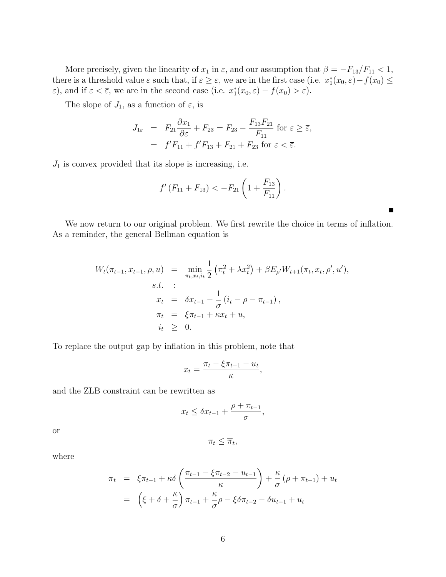More precisely, given the linearity of  $x_1$  in  $\varepsilon$ , and our assumption that  $\beta = -F_{13}/F_{11} < 1$ , there is a threshold value  $\overline{\varepsilon}$  such that, if  $\varepsilon \geq \overline{\varepsilon}$ , we are in the first case (i.e.  $x_1^*(x_0, \varepsilon) - f(x_0) \leq$  $\varepsilon$ ), and if  $\varepsilon < \overline{\varepsilon}$ , we are in the second case (i.e.  $x_1^*(x_0, \varepsilon) - f(x_0) > \varepsilon$ ).

The slope of  $J_1$ , as a function of  $\varepsilon$ , is

$$
J_{1\varepsilon} = F_{21} \frac{\partial x_1}{\partial \varepsilon} + F_{23} = F_{23} - \frac{F_{13} F_{21}}{F_{11}} \text{ for } \varepsilon \ge \overline{\varepsilon},
$$
  
=  $f' F_{11} + f' F_{13} + F_{21} + F_{23} \text{ for } \varepsilon < \overline{\varepsilon}.$ 

 $J_1$  is convex provided that its slope is increasing, i.e.

$$
f'(F_{11}+F_{13}) < -F_{21}\left(1+\frac{F_{13}}{F_{11}}\right).
$$

Г

We now return to our original problem. We first rewrite the choice in terms of inflation. As a reminder, the general Bellman equation is

$$
W_t(\pi_{t-1}, x_{t-1}, \rho, u) = \min_{\pi_t, x_t, i_t} \frac{1}{2} (\pi_t^2 + \lambda x_t^2) + \beta E_{\rho'} W_{t+1}(\pi_t, x_t, \rho', u'),
$$
  
s.t. :  

$$
x_t = \delta x_{t-1} - \frac{1}{\sigma} (i_t - \rho - \pi_{t-1}),
$$
  

$$
\pi_t = \xi \pi_{t-1} + \kappa x_t + u,
$$
  

$$
i_t \geq 0.
$$

To replace the output gap by inflation in this problem, note that

$$
x_t = \frac{\pi_t - \xi \pi_{t-1} - u_t}{\kappa},
$$

and the ZLB constraint can be rewritten as

$$
x_t \leq \delta x_{t-1} + \frac{\rho + \pi_{t-1}}{\sigma},
$$

 $\pi_t \leq \overline{\pi}_t$ 

or

where

$$
\overline{\pi}_t = \xi \pi_{t-1} + \kappa \delta \left( \frac{\pi_{t-1} - \xi \pi_{t-2} - u_{t-1}}{\kappa} \right) + \frac{\kappa}{\sigma} (\rho + \pi_{t-1}) + u_t
$$

$$
= \left( \xi + \delta + \frac{\kappa}{\sigma} \right) \pi_{t-1} + \frac{\kappa}{\sigma} \rho - \xi \delta \pi_{t-2} - \delta u_{t-1} + u_t
$$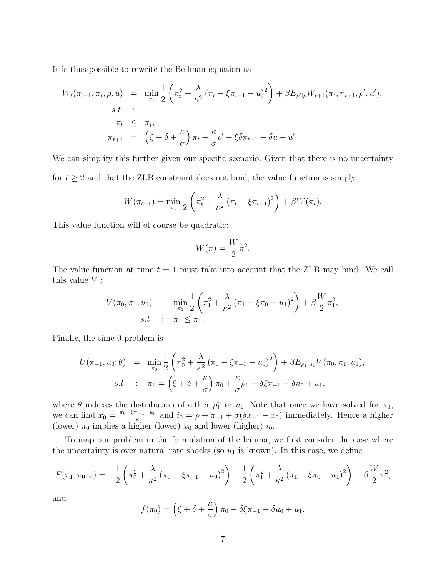It is thus possible to rewrite the Bellman equation as

$$
W_t(\pi_{t-1}, \overline{\pi}_t, \rho, u) = \min_{\pi_t} \frac{1}{2} \left( \pi_t^2 + \frac{\lambda}{\kappa^2} \left( \pi_t - \xi \pi_{t-1} - u \right)^2 \right) + \beta E_{\rho'|\rho} W_{t+1}(\pi_t, \overline{\pi}_{t+1}, \rho', u'),
$$
  
s.t. :  

$$
\pi_t \leq \overline{\pi}_t,
$$
  

$$
\overline{\pi}_{t+1} = \left( \xi + \delta + \frac{\kappa}{\sigma} \right) \pi_t + \frac{\kappa}{\sigma} \rho' - \xi \delta \pi_{t-1} - \delta u + u'.
$$

We can simplify this further given our specific scenario. Given that there is no uncertainty for  $t \geq 2$  and that the ZLB constraint does not bind, the value function is simply

$$
W(\pi_{t-1}) = \min_{\pi_t} \frac{1}{2} \left( \pi_t^2 + \frac{\lambda}{\kappa^2} \left( \pi_t - \xi \pi_{t-1} \right)^2 \right) + \beta W(\pi_t).
$$

This value function will of course be quadratic:

$$
W(\pi) = \frac{W}{2}\pi^2.
$$

The value function at time  $t = 1$  must take into account that the ZLB may bind. We call this value  $V$  :

$$
V(\pi_0, \overline{\pi}_1, u_1) = \min_{\pi_1} \frac{1}{2} \left( \pi_1^2 + \frac{\lambda}{\kappa^2} (\pi_1 - \xi \pi_0 - u_1)^2 \right) + \beta \frac{W}{2} \pi_1^2,
$$
  
s.t. :  $\pi_1 \le \overline{\pi}_1.$ 

Finally, the time 0 problem is

$$
U(\pi_{-1}, u_0; \theta) = \min_{\pi_0} \frac{1}{2} \left( \pi_0^2 + \frac{\lambda}{\kappa^2} (\pi_0 - \xi \pi_{-1} - u_0)^2 \right) + \beta E_{\rho_1, u_1} V(\pi_0, \overline{\pi}_1, u_1),
$$
  
s.t. :  $\overline{\pi}_1 = \left( \xi + \delta + \frac{\kappa}{\sigma} \right) \pi_0 + \frac{\kappa}{\sigma} \rho_1 - \delta \xi \pi_{-1} - \delta u_0 + u_1,$ 

where  $\theta$  indexes the distribution of either  $\rho_1^n$  or  $u_1$ . Note that once we have solved for  $\pi_0$ , we can find  $x_0 = \frac{\pi_0 - \xi \pi_{-1} - u_0}{\kappa}$  $\frac{a_{-1}-u_0}{\kappa}$  and  $i_0 = \rho + \pi_{-1} + \sigma(\delta x_{-1} - x_0)$  immediately. Hence a higher (lower)  $\pi_0$  implies a higher (lower)  $x_0$  and lower (higher)  $i_0$ .

To map our problem in the formulation of the lemma, we first consider the case where the uncertainty is over natural rate shocks (so  $u_1$  is known). In this case, we define

$$
F(\pi_1, \pi_0, \varepsilon) = -\frac{1}{2} \left( \pi_0^2 + \frac{\lambda}{\kappa^2} \left( \pi_0 - \xi \pi_{-1} - u_0 \right)^2 \right) - \frac{1}{2} \left( \pi_1^2 + \frac{\lambda}{\kappa^2} \left( \pi_1 - \xi \pi_0 - u_1 \right)^2 \right) - \beta \frac{W}{2} \pi_1^2,
$$

and

$$
f(\pi_0) = \left(\xi + \delta + \frac{\kappa}{\sigma}\right)\pi_0 - \delta\xi\pi_{-1} - \delta u_0 + u_1.
$$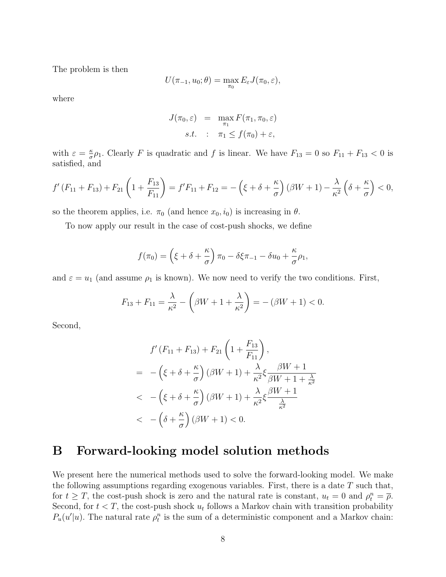The problem is then

$$
U(\pi_{-1}, u_0; \theta) = \max_{\pi_0} E_{\varepsilon} J(\pi_0, \varepsilon),
$$

where

$$
J(\pi_0, \varepsilon) = \max_{\pi_1} F(\pi_1, \pi_0, \varepsilon)
$$
  
s.t. :  $\pi_1 \le f(\pi_0) + \varepsilon$ ,

with  $\varepsilon = \frac{\kappa}{\sigma}$  $\frac{\kappa}{\sigma}\rho_1$ . Clearly F is quadratic and f is linear. We have  $F_{13} = 0$  so  $F_{11} + F_{13} < 0$  is satisfied, and

$$
f'(F_{11} + F_{13}) + F_{21}\left(1 + \frac{F_{13}}{F_{11}}\right) = f'F_{11} + F_{12} = -\left(\xi + \delta + \frac{\kappa}{\sigma}\right)(\beta W + 1) - \frac{\lambda}{\kappa^2}\left(\delta + \frac{\kappa}{\sigma}\right) < 0,
$$

so the theorem applies, i.e.  $\pi_0$  (and hence  $x_0, i_0$ ) is increasing in  $\theta$ .

To now apply our result in the case of cost-push shocks, we define

$$
f(\pi_0) = \left(\xi + \delta + \frac{\kappa}{\sigma}\right)\pi_0 - \delta\xi\pi_{-1} - \delta u_0 + \frac{\kappa}{\sigma}\rho_1,
$$

and  $\varepsilon = u_1$  (and assume  $\rho_1$  is known). We now need to verify the two conditions. First,

$$
F_{13} + F_{11} = \frac{\lambda}{\kappa^2} - \left(\beta W + 1 + \frac{\lambda}{\kappa^2}\right) = -\left(\beta W + 1\right) < 0.
$$

Second,

$$
f'(F_{11} + F_{13}) + F_{21}\left(1 + \frac{F_{13}}{F_{11}}\right),
$$
  
= 
$$
-\left(\xi + \delta + \frac{\kappa}{\sigma}\right)(\beta W + 1) + \frac{\lambda}{\kappa^2}\xi \frac{\beta W + 1}{\beta W + 1 + \frac{\lambda}{\kappa^2}}
$$
  
< 
$$
-\left(\xi + \delta + \frac{\kappa}{\sigma}\right)(\beta W + 1) + \frac{\lambda}{\kappa^2}\xi \frac{\beta W + 1}{\frac{\lambda}{\kappa^2}}
$$
  
< 
$$
-\left(\delta + \frac{\kappa}{\sigma}\right)(\beta W + 1) < 0.
$$

## B Forward-looking model solution methods

We present here the numerical methods used to solve the forward-looking model. We make the following assumptions regarding exogenous variables. First, there is a date  $T$  such that, for  $t \geq T$ , the cost-push shock is zero and the natural rate is constant,  $u_t = 0$  and  $\rho_t^n = \overline{\rho}$ . Second, for  $t < T$ , the cost-push shock  $u_t$  follows a Markov chain with transition probability  $P_u(u'|u)$ . The natural rate  $\rho_t^n$  is the sum of a deterministic component and a Markov chain: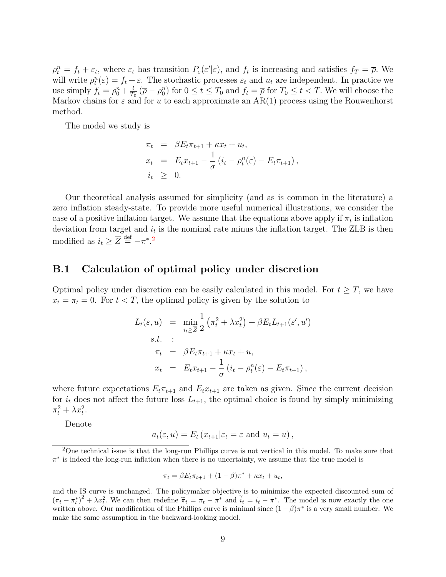$\rho_t^n = f_t + \varepsilon_t$ , where  $\varepsilon_t$  has transition  $P_{\varepsilon}(\varepsilon'|\varepsilon)$ , and  $f_t$  is increasing and satisfies  $f_T = \overline{\rho}$ . We will write  $\rho_t^n(\varepsilon) = f_t + \varepsilon$ . The stochastic processes  $\varepsilon_t$  and  $u_t$  are independent. In practice we use simply  $f_t = \rho_0^n + \frac{t}{T_0}$  $\frac{t}{T_0}$  ( $\overline{\rho} - \rho_0^n$ ) for  $0 \le t \le T_0$  and  $f_t = \overline{\rho}$  for  $T_0 \le t < T$ . We will choose the Markov chains for  $\varepsilon$  and for u to each approximate an AR(1) process using the Rouwenhorst method.

The model we study is

$$
\pi_t = \beta E_t \pi_{t+1} + \kappa x_t + u_t,
$$
  
\n
$$
x_t = E_t x_{t+1} - \frac{1}{\sigma} (i_t - \rho_t^n(\varepsilon) - E_t \pi_{t+1}),
$$
  
\n
$$
i_t \geq 0.
$$

Our theoretical analysis assumed for simplicity (and as is common in the literature) a zero inflation steady-state. To provide more useful numerical illustrations, we consider the case of a positive inflation target. We assume that the equations above apply if  $\pi_t$  is inflation deviation from target and  $i_t$  is the nominal rate minus the inflation target. The ZLB is then modified as  $i_t \geq \overline{Z} \stackrel{\text{def}}{=} -\pi^*$ .<sup>[2](#page-0-0)</sup>

#### B.1 Calculation of optimal policy under discretion

Optimal policy under discretion can be easily calculated in this model. For  $t \geq T$ , we have  $x_t = \pi_t = 0$ . For  $t < T$ , the optimal policy is given by the solution to

$$
L_t(\varepsilon, u) = \min_{i_t \geq \overline{Z}} \frac{1}{2} \left( \pi_t^2 + \lambda x_t^2 \right) + \beta E_t L_{t+1}(\varepsilon', u')
$$
  
s.t. :  

$$
\pi_t = \beta E_t \pi_{t+1} + \kappa x_t + u,
$$
  

$$
x_t = E_t x_{t+1} - \frac{1}{\sigma} \left( i_t - \rho_t^n(\varepsilon) - E_t \pi_{t+1} \right),
$$

where future expectations  $E_t \pi_{t+1}$  and  $E_t x_{t+1}$  are taken as given. Since the current decision for  $i_t$  does not affect the future loss  $L_{t+1}$ , the optimal choice is found by simply minimizing  $\pi_t^2 + \lambda x_t^2$ .

Denote

$$
a_t(\varepsilon, u) = E_t(x_{t+1}|\varepsilon_t = \varepsilon
$$
 and  $u_t = u)$ ,

<sup>2</sup>One technical issue is that the long-run Phillips curve is not vertical in this model. To make sure that  $\pi^*$  is indeed the long-run inflation when there is no uncertainty, we assume that the true model is

$$
\pi_t = \beta E_t \pi_{t+1} + (1 - \beta)\pi^* + \kappa x_t + u_t,
$$

and the IS curve is unchanged. The policymaker objective is to minimize the expected discounted sum of  $(\pi_t - \pi_t^*)^2 + \lambda x_t^2$ . We can then redefine  $\tilde{\pi}_t = \pi_t - \pi^*$  and  $\tilde{i}_t = i_t - \pi^*$ . The model is now exactly the one written above. Our modification of the Phillips curve is minimal since  $(1 - \beta)\pi^*$  is a very small number. We make the same assumption in the backward-looking model.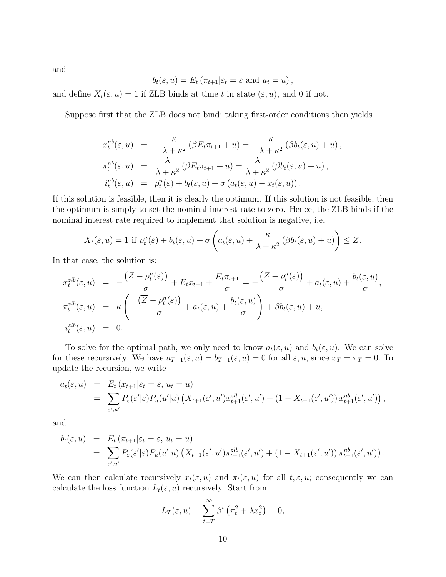and

$$
b_t(\varepsilon, u) = E_t \left( \pi_{t+1} | \varepsilon_t = \varepsilon \text{ and } u_t = u \right),\,
$$

and define  $X_t(\varepsilon, u) = 1$  if ZLB binds at time t in state  $(\varepsilon, u)$ , and 0 if not.

Suppose first that the ZLB does not bind; taking first-order conditions then yields

$$
x_t^{nb}(\varepsilon, u) = -\frac{\kappa}{\lambda + \kappa^2} (\beta E_t \pi_{t+1} + u) = -\frac{\kappa}{\lambda + \kappa^2} (\beta b_t(\varepsilon, u) + u),
$$
  
\n
$$
\pi_t^{nb}(\varepsilon, u) = \frac{\lambda}{\lambda + \kappa^2} (\beta E_t \pi_{t+1} + u) = \frac{\lambda}{\lambda + \kappa^2} (\beta b_t(\varepsilon, u) + u),
$$
  
\n
$$
i_t^{nb}(\varepsilon, u) = \rho_t^n(\varepsilon) + b_t(\varepsilon, u) + \sigma (a_t(\varepsilon, u) - x_t(\varepsilon, u)).
$$

If this solution is feasible, then it is clearly the optimum. If this solution is not feasible, then the optimum is simply to set the nominal interest rate to zero. Hence, the ZLB binds if the nominal interest rate required to implement that solution is negative, i.e.

$$
X_t(\varepsilon, u) = 1 \text{ if } \rho_t^n(\varepsilon) + b_t(\varepsilon, u) + \sigma \left( a_t(\varepsilon, u) + \frac{\kappa}{\lambda + \kappa^2} \left( \beta b_t(\varepsilon, u) + u \right) \right) \leq \overline{Z}.
$$

In that case, the solution is:

$$
x_t^{zlb}(\varepsilon, u) = -\frac{(\overline{Z} - \rho_t^n(\varepsilon))}{\sigma} + E_t x_{t+1} + \frac{E_t \pi_{t+1}}{\sigma} = -\frac{(\overline{Z} - \rho_t^n(\varepsilon))}{\sigma} + a_t(\varepsilon, u) + \frac{b_t(\varepsilon, u)}{\sigma},
$$
  

$$
\pi_t^{zlb}(\varepsilon, u) = \kappa \left( -\frac{(\overline{Z} - \rho_t^n(\varepsilon))}{\sigma} + a_t(\varepsilon, u) + \frac{b_t(\varepsilon, u)}{\sigma} \right) + \beta b_t(\varepsilon, u) + u,
$$
  

$$
i_t^{zlb}(\varepsilon, u) = 0.
$$

To solve for the optimal path, we only need to know  $a_t(\varepsilon, u)$  and  $b_t(\varepsilon, u)$ . We can solve for these recursively. We have  $a_{T-1}(\varepsilon, u) = b_{T-1}(\varepsilon, u) = 0$  for all  $\varepsilon, u$ , since  $x_T = \pi_T = 0$ . To update the recursion, we write

$$
a_t(\varepsilon, u) = E_t(x_{t+1}|\varepsilon_t = \varepsilon, u_t = u)
$$
  
= 
$$
\sum_{\varepsilon', u'} P_{\varepsilon}(\varepsilon'|\varepsilon) P_u(u'|u) \left(X_{t+1}(\varepsilon', u') x_{t+1}^{zlb}(\varepsilon', u') + (1 - X_{t+1}(\varepsilon', u')) x_{t+1}^{nb}(\varepsilon', u')\right),
$$

and

$$
b_t(\varepsilon, u) = E_t(\pi_{t+1} | \varepsilon_t = \varepsilon, u_t = u)
$$
  
= 
$$
\sum_{\varepsilon', u'} P_{\varepsilon}(\varepsilon' | \varepsilon) P_u(u' | u) \left( X_{t+1}(\varepsilon', u') \pi_{t+1}^{zlb}(\varepsilon', u') + (1 - X_{t+1}(\varepsilon', u')) \pi_{t+1}^{nb}(\varepsilon', u') \right).
$$

We can then calculate recursively  $x_t(\varepsilon, u)$  and  $\pi_t(\varepsilon, u)$  for all  $t, \varepsilon, u$ ; consequently we can calculate the loss function  $L_t(\varepsilon, u)$  recursively. Start from

$$
L_T(\varepsilon, u) = \sum_{t=T}^{\infty} \beta^t \left( \pi_t^2 + \lambda x_t^2 \right) = 0,
$$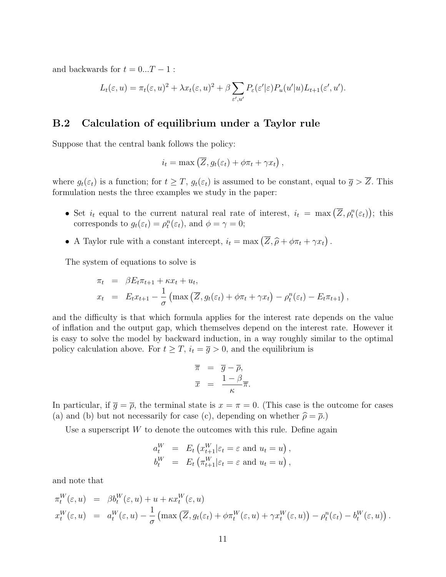and backwards for  $t = 0...T - 1$ :

$$
L_t(\varepsilon, u) = \pi_t(\varepsilon, u)^2 + \lambda x_t(\varepsilon, u)^2 + \beta \sum_{\varepsilon', u'} P_{\varepsilon}(\varepsilon'|\varepsilon) P_u(u'|u) L_{t+1}(\varepsilon', u').
$$

### B.2 Calculation of equilibrium under a Taylor rule

Suppose that the central bank follows the policy:

$$
i_t = \max\left(\overline{Z}, g_t(\varepsilon_t) + \phi \pi_t + \gamma x_t\right),
$$

where  $g_t(\varepsilon_t)$  is a function; for  $t \geq T$ ,  $g_t(\varepsilon_t)$  is assumed to be constant, equal to  $\overline{g} > \overline{Z}$ . This formulation nests the three examples we study in the paper:

- Set  $i_t$  equal to the current natural real rate of interest,  $i_t = \max(\overline{Z}, \rho_t^n(\varepsilon_t));$  this corresponds to  $g_t(\varepsilon_t) = \rho_t^n(\varepsilon_t)$ , and  $\phi = \gamma = 0$ ;
- A Taylor rule with a constant intercept,  $i_t = \max(\overline{Z}, \widehat{\rho} + \phi \pi_t + \gamma x_t)$ .

The system of equations to solve is

$$
\pi_t = \beta E_t \pi_{t+1} + \kappa x_t + u_t,
$$
  
\n
$$
x_t = E_t x_{t+1} - \frac{1}{\sigma} \left( \max \left( \overline{Z}, g_t(\varepsilon_t) + \phi \pi_t + \gamma x_t \right) - \rho_t^n(\varepsilon_t) - E_t \pi_{t+1} \right),
$$

and the difficulty is that which formula applies for the interest rate depends on the value of inflation and the output gap, which themselves depend on the interest rate. However it is easy to solve the model by backward induction, in a way roughly similar to the optimal policy calculation above. For  $t \geq T$ ,  $i_t = \overline{g} > 0$ , and the equilibrium is

$$
\begin{array}{rcl}\n\overline{\pi} & = & \overline{g} - \overline{\rho}, \\
\overline{x} & = & \frac{1 - \beta}{\kappa} \overline{\pi}.\n\end{array}
$$

In particular, if  $\overline{g} = \overline{\rho}$ , the terminal state is  $x = \pi = 0$ . (This case is the outcome for cases (a) and (b) but not necessarily for case (c), depending on whether  $\hat{\rho} = \overline{\rho}$ .)

Use a superscript  $W$  to denote the outcomes with this rule. Define again

$$
a_t^W = E_t \left( x_{t+1}^W | \varepsilon_t = \varepsilon \text{ and } u_t = u \right),
$$
  
\n
$$
b_t^W = E_t \left( \pi_{t+1}^W | \varepsilon_t = \varepsilon \text{ and } u_t = u \right),
$$

and note that

$$
\pi_t^W(\varepsilon, u) = \beta b_t^W(\varepsilon, u) + u + \kappa x_t^W(\varepsilon, u) \n x_t^W(\varepsilon, u) = a_t^W(\varepsilon, u) - \frac{1}{\sigma} \left( \max \left( \overline{Z}, g_t(\varepsilon_t) + \phi \pi_t^W(\varepsilon, u) + \gamma x_t^W(\varepsilon, u) \right) - \rho_t^n(\varepsilon_t) - b_t^W(\varepsilon, u) \right).
$$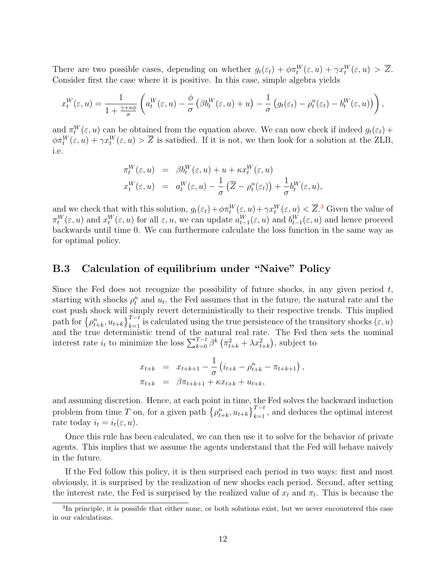There are two possible cases, depending on whether  $g_t(\varepsilon_t) + \phi \pi_t^W(\varepsilon, u) + \gamma x_t^W(\varepsilon, u) > \overline{Z}$ . Consider first the case where it is positive. In this case, simple algebra yields

$$
x_t^W(\varepsilon, u) = \frac{1}{1 + \frac{\gamma + \kappa \phi}{\sigma}} \left( a_t^W(\varepsilon, u) - \frac{\phi}{\sigma} \left( \beta b_t^W(\varepsilon, u) + u \right) - \frac{1}{\sigma} \left( g_t(\varepsilon_t) - \rho_t^n(\varepsilon_t) - b_t^W(\varepsilon, u) \right) \right),
$$

and  $\pi_t^W(\varepsilon, u)$  can be obtained from the equation above. We can now check if indeed  $g_t(\varepsilon_t)$  +  $\phi\pi_t^W(\varepsilon, u) + \gamma x_t^W(\varepsilon, u) > \overline{Z}$  is satisfied. If it is not, we then look for a solution at the ZLB, i.e.

$$
\pi_t^W(\varepsilon, u) = \beta b_t^W(\varepsilon, u) + u + \kappa x_t^W(\varepsilon, u)
$$
  

$$
x_t^W(\varepsilon, u) = a_t^W(\varepsilon, u) - \frac{1}{\sigma} (\overline{Z} - \rho_t^n(\varepsilon_t)) + \frac{1}{\sigma} b_t^W(\varepsilon, u),
$$

and we check that with this solution,  $g_t(\varepsilon_t) + \phi \pi_t^W(\varepsilon, u) + \gamma x_t^W(\varepsilon, u) < \overline{Z}$ .<sup>[3](#page-0-0)</sup> Given the value of  $\pi_t^W(\varepsilon, u)$  and  $x_t^W(\varepsilon, u)$  for all  $\varepsilon, u$ , we can update  $a_{t-1}^W(\varepsilon, u)$  and  $b_{t-1}^W(\varepsilon, u)$  and hence proceed backwards until time 0. We can furthermore calculate the loss function in the same way as for optimal policy.

### B.3 Calculation of equilibrium under "Naive" Policy

Since the Fed does not recognize the possibility of future shocks, in any given period  $t$ , starting with shocks  $\rho_t^n$  and  $u_t$ , the Fed assumes that in the future, the natural rate and the cost push shock will simply revert deterministically to their respective trends. This implied path for  $\{\rho_{t+k}^n, u_{t+k}\}_{k=1}^{T-t}$  is calculated using the true persistence of the transitory shocks  $(\varepsilon, u)$ and the true deterministic trend of the natural real rate. The Fed then sets the nominal interest rate  $i_t$  to minimize the loss  $\sum_{k=0}^{T-t} \beta^k (\pi_{t+k}^2 + \lambda x_{t+k}^2)$ , subject to

$$
x_{t+k} = x_{t+k+1} - \frac{1}{\sigma} \left( i_{t+k} - \rho_{t+k}^n - \pi_{t+k+1} \right),
$$
  

$$
\pi_{t+k} = \beta \pi_{t+k+1} + \kappa x_{t+k} + u_{t+k},
$$

and assuming discretion. Hence, at each point in time, the Fed solves the backward induction problem from time T on, for a given path  $\left\{\rho_{t+k}^n, u_{t+k}\right\}_{k=1}^{T-t}$ , and deduces the optimal interest rate today  $i_t = i_t(\varepsilon, u)$ .

Once this rule has been calculated, we can then use it to solve for the behavior of private agents. This implies that we assume the agents understand that the Fed will behave naively in the future.

If the Fed follow this policy, it is then surprised each period in two ways: first and most obviously, it is surprised by the realization of new shocks each period. Second, after setting the interest rate, the Fed is surprised by the realized value of  $x_t$  and  $\pi_t$ . This is because the

<sup>&</sup>lt;sup>3</sup>In principle, it is possible that either none, or both solutions exist, but we never encountered this case in our calculations.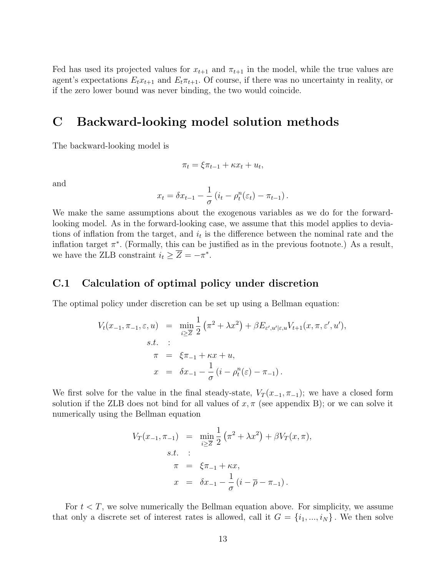Fed has used its projected values for  $x_{t+1}$  and  $\pi_{t+1}$  in the model, while the true values are agent's expectations  $E_t x_{t+1}$  and  $E_t \pi_{t+1}$ . Of course, if there was no uncertainty in reality, or if the zero lower bound was never binding, the two would coincide.

## C Backward-looking model solution methods

The backward-looking model is

$$
\pi_t = \xi \pi_{t-1} + \kappa x_t + u_t,
$$

and

$$
x_t = \delta x_{t-1} - \frac{1}{\sigma} \left( i_t - \rho_t^n(\varepsilon_t) - \pi_{t-1} \right).
$$

We make the same assumptions about the exogenous variables as we do for the forwardlooking model. As in the forward-looking case, we assume that this model applies to deviations of inflation from the target, and  $i_t$  is the difference between the nominal rate and the inflation target  $\pi^*$ . (Formally, this can be justified as in the previous footnote.) As a result, we have the ZLB constraint  $i_t \geq \overline{Z} = -\pi^*$ .

#### C.1 Calculation of optimal policy under discretion

The optimal policy under discretion can be set up using a Bellman equation:

$$
V_t(x_{-1}, \pi_{-1}, \varepsilon, u) = \min_{i \geq \overline{Z}} \frac{1}{2} (\pi^2 + \lambda x^2) + \beta E_{\varepsilon', u' | \varepsilon, u} V_{t+1}(x, \pi, \varepsilon', u'),
$$
  
s.t. :  

$$
\pi = \xi \pi_{-1} + \kappa x + u,
$$
  

$$
x = \delta x_{-1} - \frac{1}{\sigma} (i - \rho_t^n(\varepsilon) - \pi_{-1}).
$$

We first solve for the value in the final steady-state,  $V_T(x_{-1}, \pi_{-1})$ ; we have a closed form solution if the ZLB does not bind for all values of  $x, \pi$  (see appendix B); or we can solve it numerically using the Bellman equation

$$
V_T(x_{-1}, \pi_{-1}) = \min_{i \ge \overline{Z}} \frac{1}{2} (\pi^2 + \lambda x^2) + \beta V_T(x, \pi),
$$
  
s.t. :  

$$
\pi = \xi \pi_{-1} + \kappa x,
$$
  

$$
x = \delta x_{-1} - \frac{1}{\sigma} (i - \overline{\rho} - \pi_{-1}).
$$

For  $t < T$ , we solve numerically the Bellman equation above. For simplicity, we assume that only a discrete set of interest rates is allowed, call it  $G = \{i_1, ..., i_N\}$ . We then solve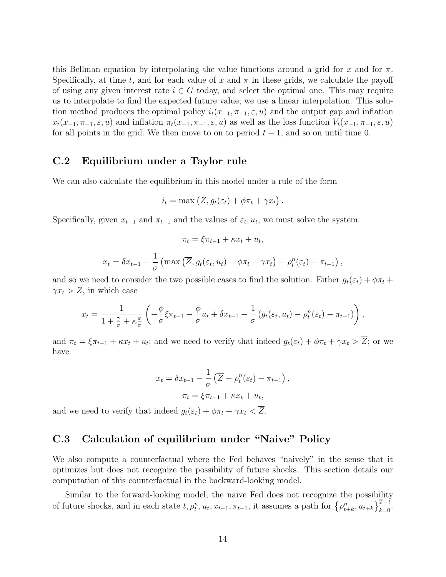this Bellman equation by interpolating the value functions around a grid for x and for  $\pi$ . Specifically, at time t, and for each value of x and  $\pi$  in these grids, we calculate the payoff of using any given interest rate  $i \in G$  today, and select the optimal one. This may require us to interpolate to find the expected future value; we use a linear interpolation. This solution method produces the optimal policy  $i_t(x_{-1}, \pi_{-1}, \varepsilon, u)$  and the output gap and inflation  $x_t(x_{-1}, \pi_{-1}, \varepsilon, u)$  and inflation  $\pi_t(x_{-1}, \pi_{-1}, \varepsilon, u)$  as well as the loss function  $V_t(x_{-1}, \pi_{-1}, \varepsilon, u)$ for all points in the grid. We then move to on to period  $t-1$ , and so on until time 0.

### C.2 Equilibrium under a Taylor rule

We can also calculate the equilibrium in this model under a rule of the form

$$
i_t = \max(\overline{Z}, g_t(\varepsilon_t) + \phi \pi_t + \gamma x_t).
$$

Specifically, given  $x_{t-1}$  and  $\pi_{t-1}$  and the values of  $\varepsilon_t$ ,  $u_t$ , we must solve the system:

$$
\pi_t = \xi \pi_{t-1} + \kappa x_t + u_t,
$$

$$
x_t = \delta x_{t-1} - \frac{1}{\sigma} \left( \max \left( \overline{Z}, g_t(\varepsilon_t, u_t) + \phi \pi_t + \gamma x_t \right) - \rho_t^n(\varepsilon_t) - \pi_{t-1} \right),
$$

and so we need to consider the two possible cases to find the solution. Either  $g_t(\varepsilon_t) + \phi \pi_t +$  $\gamma x_t > \overline{Z}$ , in which case

$$
x_t = \frac{1}{1 + \frac{\gamma}{\sigma} + \kappa \frac{\phi}{\sigma}} \left( -\frac{\phi}{\sigma} \xi \pi_{t-1} - \frac{\phi}{\sigma} u_t + \delta x_{t-1} - \frac{1}{\sigma} \left( g_t(\varepsilon_t, u_t) - \rho_t^n(\varepsilon_t) - \pi_{t-1} \right) \right),
$$

and  $\pi_t = \xi \pi_{t-1} + \kappa x_t + u_t$ ; and we need to verify that indeed  $g_t(\varepsilon_t) + \phi \pi_t + \gamma x_t > \overline{Z}$ ; or we have

$$
x_t = \delta x_{t-1} - \frac{1}{\sigma} \left( \overline{Z} - \rho_t^n(\varepsilon_t) - \pi_{t-1} \right),
$$

$$
\pi_t = \xi \pi_{t-1} + \kappa x_t + u_t,
$$

and we need to verify that indeed  $g_t(\varepsilon_t) + \phi \pi_t + \gamma x_t < \overline{Z}$ .

## C.3 Calculation of equilibrium under "Naive" Policy

We also compute a counterfactual where the Fed behaves "naively" in the sense that it optimizes but does not recognize the possibility of future shocks. This section details our computation of this counterfactual in the backward-looking model.

Similar to the forward-looking model, the naive Fed does not recognize the possibility of future shocks, and in each state  $t, \rho_t^n, u_t, x_{t-1}, \pi_{t-1}$ , it assumes a path for  $\{\rho_{t+k}^n, u_{t+k}\}_{k=0}^{T-t}$ .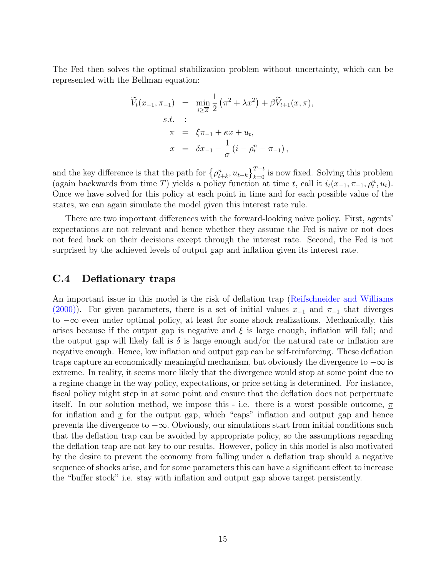The Fed then solves the optimal stabilization problem without uncertainty, which can be represented with the Bellman equation:

$$
\widetilde{V}_t(x_{-1}, \pi_{-1}) = \min_{i \geq \overline{Z}} \frac{1}{2} (\pi^2 + \lambda x^2) + \beta \widetilde{V}_{t+1}(x, \pi),
$$
\ns.t. :  
\n
$$
\pi = \xi \pi_{-1} + \kappa x + u_t,
$$
\n
$$
x = \delta x_{-1} - \frac{1}{\sigma} (i - \rho_t^n - \pi_{-1}),
$$

and the key difference is that the path for  $\left\{\rho_{t+k}^n, u_{t+k}\right\}_{k=0}^{T-t}$  is now fixed. Solving this problem (again backwards from time T) yields a policy function at time t, call it  $i_t(x_{-1}, \pi_{-1}, \rho_t^n, u_t)$ . Once we have solved for this policy at each point in time and for each possible value of the states, we can again simulate the model given this interest rate rule.

There are two important differences with the forward-looking naive policy. First, agents' expectations are not relevant and hence whether they assume the Fed is naive or not does not feed back on their decisions except through the interest rate. Second, the Fed is not surprised by the achieved levels of output gap and inflation given its interest rate.

#### C.4 Deflationary traps

An important issue in this model is the risk of deflation trap [\(Reifschneider and Williams](#page-26-0) [\(2000\)](#page-26-0)). For given parameters, there is a set of initial values  $x_{-1}$  and  $\pi_{-1}$  that diverges to  $-\infty$  even under optimal policy, at least for some shock realizations. Mechanically, this arises because if the output gap is negative and  $\xi$  is large enough, inflation will fall; and the output gap will likely fall is  $\delta$  is large enough and/or the natural rate or inflation are negative enough. Hence, low inflation and output gap can be self-reinforcing. These deflation traps capture an economically meaningful mechanism, but obviously the divergence to  $-\infty$  is extreme. In reality, it seems more likely that the divergence would stop at some point due to a regime change in the way policy, expectations, or price setting is determined. For instance, fiscal policy might step in at some point and ensure that the deflation does not perpertuate itself. In our solution method, we impose this - i.e. there is a worst possible outcome,  $\pi$ for inflation and  $\underline{x}$  for the output gap, which "caps" inflation and output gap and hence prevents the divergence to  $-\infty$ . Obviously, our simulations start from initial conditions such that the deflation trap can be avoided by appropriate policy, so the assumptions regarding the deflation trap are not key to our results. However, policy in this model is also motivated by the desire to prevent the economy from falling under a deflation trap should a negative sequence of shocks arise, and for some parameters this can have a significant effect to increase the "buffer stock" i.e. stay with inflation and output gap above target persistently.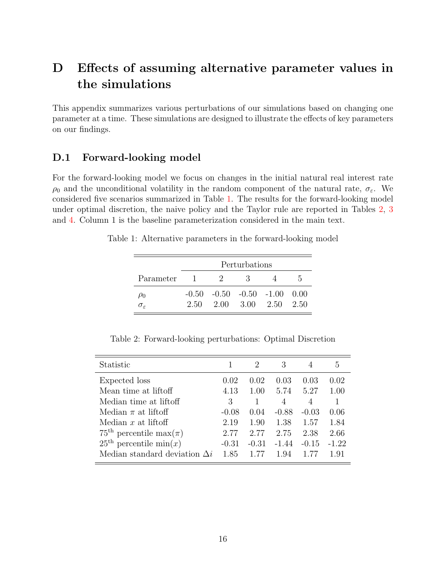# D Effects of assuming alternative parameter values in the simulations

This appendix summarizes various perturbations of our simulations based on changing one parameter at a time. These simulations are designed to illustrate the effects of key parameters on our findings.

### D.1 Forward-looking model

For the forward-looking model we focus on changes in the initial natural real interest rate  $\rho_0$  and the unconditional volatility in the random component of the natural rate,  $\sigma_{\varepsilon}$ . We considered five scenarios summarized in Table [1.](#page-15-0) The results for the forward-looking model under optimal discretion, the naive policy and the Taylor rule are reported in Tables [2,](#page-15-1) [3](#page-16-0) and [4.](#page-16-1) Column 1 is the baseline parameterization considered in the main text.

Table 1: Alternative parameters in the forward-looking model

<span id="page-15-0"></span>

|                        |              |                                                    | Perturbations |    |
|------------------------|--------------|----------------------------------------------------|---------------|----|
| Parameter              | $\mathbf{I}$ | - 200                                              | - 3           | h. |
| $\mu_{0}$              |              | $-0.50$ $-0.50$ $-0.50$ $-1.00$ $0.00$             |               |    |
| $\sigma_{\varepsilon}$ |              | $2.50 \quad 2.00 \quad 3.00 \quad 2.50 \quad 2.50$ |               |    |

<span id="page-15-1"></span>Table 2: Forward-looking perturbations: Optimal Discretion

| Statistic                               |         | 2       | 3       |         | 5       |
|-----------------------------------------|---------|---------|---------|---------|---------|
| Expected loss                           | 0.02    | 0.02    | 0.03    | 0.03    | 0.02    |
| Mean time at liftoff                    | 4.13    | 1.00    | 5.74    | 5.27    | 1.00    |
| Median time at liftoff                  | 3       |         | 4       | 4       | 1       |
| Median $\pi$ at liftoff                 | $-0.08$ | (1.04)  | $-0.88$ | $-0.03$ | 0.06    |
| Median $x$ at liftoff                   | 2.19    | 1.90    | 1.38    | 1.57    | 1.84    |
| $75^{\text{th}}$ percentile max $(\pi)$ | 2.77    | 2.77    | 2.75    | 2.38    | 2.66    |
| $25^{\text{th}}$ percentile min $(x)$   | $-0.31$ | $-0.31$ | $-1.44$ | $-0.15$ | $-1.22$ |
| Median standard deviation $\Delta i$    | 1.85    |         | 194     |         | 191     |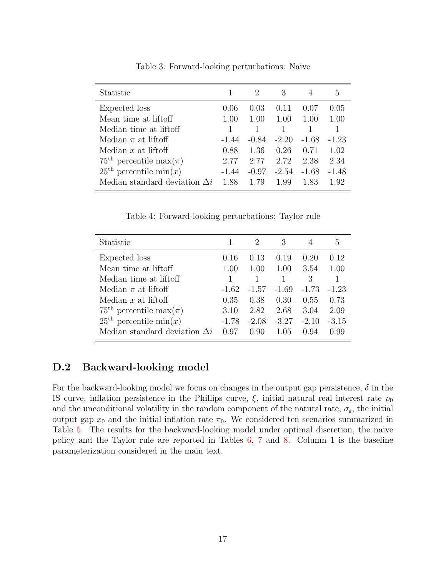| Statistic                                |         | 2       | 3       |         | h,      |
|------------------------------------------|---------|---------|---------|---------|---------|
| Expected loss                            | 0.06    | 0.03    | 0.11    | 0.07    | 0.05    |
| Mean time at liftoff                     | 1.00    | 1.00    | 1.00    | 1.00    | 1.00    |
| Median time at liftoff                   |         |         |         |         |         |
| Median $\pi$ at liftoff                  | -1.44   | $-0.84$ | $-2.20$ | $-1.68$ | $-1.23$ |
| Median $x$ at liftoff                    | 0.88    | 1.36    | 0.26    | 0.71    | 1.02    |
| $75^{\text{th}}$ percentile max( $\pi$ ) | 2.77    | 2.77    | 2.72    | 2.38    | 2.34    |
| $25^{\text{th}}$ percentile min $(x)$    | $-1.44$ | $-0.97$ | $-2.54$ | $-1.68$ | $-1.48$ |
| Median standard deviation $\Delta i$     | 1.88    | 1.79    | 1.99    | 1.83    | 1.92    |

<span id="page-16-0"></span>Table 3: Forward-looking perturbations: Naive

<span id="page-16-1"></span>Table 4: Forward-looking perturbations: Taylor rule

| Statistic                                |         | 2       | 3       |         | b.      |
|------------------------------------------|---------|---------|---------|---------|---------|
| Expected loss                            | 0.16    | 0.13    | 0.19    | 0.20    | 0.12    |
| Mean time at liftoff                     | 1.00    | 1.00    | 1.00    | 3.54    | 1.00    |
| Median time at liftoff                   |         |         |         | 3       |         |
| Median $\pi$ at liftoff                  | $-1.62$ | $-1.57$ | $-1.69$ | $-1.73$ | $-1.23$ |
| Median $x$ at liftoff                    | 0.35    | 0.38    | 0.30    | 0.55    | 0.73    |
| $75^{\text{th}}$ percentile max( $\pi$ ) | 3.10    | 2.82    | 2.68    | 3.04    | 2.09    |
| $25th$ percentile min $(x)$              | $-1.78$ | $-2.08$ | $-3.27$ | $-2.10$ | $-3.15$ |
| Median standard deviation $\Delta i$     | በ 97    | 0.90    | 1.05    | 0.94    | 0.99    |

### D.2 Backward-looking model

For the backward-looking model we focus on changes in the output gap persistence,  $\delta$  in the IS curve, inflation persistence in the Phillips curve,  $\xi$ , initial natural real interest rate  $\rho_0$ and the unconditional volatility in the random component of the natural rate,  $\sigma_{\varepsilon}$ , the initial output gap  $x_0$  and the initial inflation rate  $\pi_0$ . We considered ten scenarios summarized in Table [5.](#page-17-0) The results for the backward-looking model under optimal discretion, the naive policy and the Taylor rule are reported in Tables [6,](#page-18-0) [7](#page-18-1) and [8.](#page-19-0) Column 1 is the baseline parameterization considered in the main text.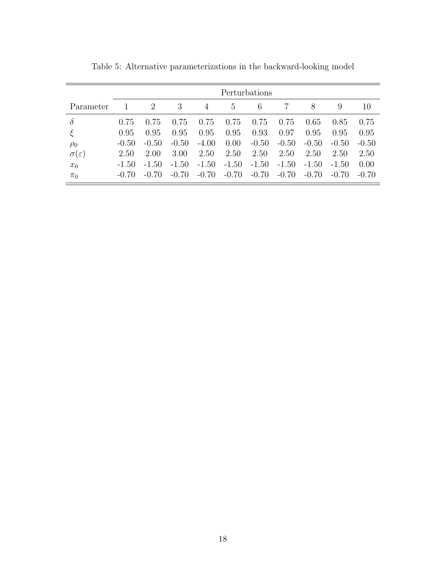|                       |           |         |         |         |                | Perturbations |         |         |           |           |
|-----------------------|-----------|---------|---------|---------|----------------|---------------|---------|---------|-----------|-----------|
| Parameter             |           | 2       | 3       | 4       | $\overline{5}$ | 6             |         | 8       | 9         | 10        |
| $\delta$              | 0.75      | 0.75    | 0.75    | 0.75    | 0.75           | 0.75          | 0.75    | 0.65    | 0.85      | 0.75      |
| ξ                     | 0.95      | 0.95    | 0.95    | 0.95    | 0.95           | 0.93          | 0.97    | 0.95    | 0.95      | 0.95      |
| $\rho_0$              | $-(0.50)$ | $-0.50$ | $-0.50$ | $-4.00$ | 0.00           | $-0.50$       | $-0.50$ | $-0.50$ | $-(0.50)$ | $-0.50$   |
| $\sigma(\varepsilon)$ | 2.50      | 2.00    | 3.00    | 2.50    | 2.50           | 2.50          | 2.50    | 2.50    | 2.50      | 2.50      |
| $x_0$                 | $-1.50$   | $-1.50$ | $-1.50$ | $-1.50$ | $-1.50$        | $-1.50$       | $-1.50$ | $-1.50$ | $-1.50$   | 0.00      |
| $\pi_0$               | $-(0.70)$ | $-0.70$ | $-0.70$ | $-0.70$ | $-0.70$        | $-0.70$       | $-0.70$ | $-0.70$ | $-0.70$   | $-(0.70)$ |

<span id="page-17-0"></span>Table 5: Alternative parameterizations in the backward-looking model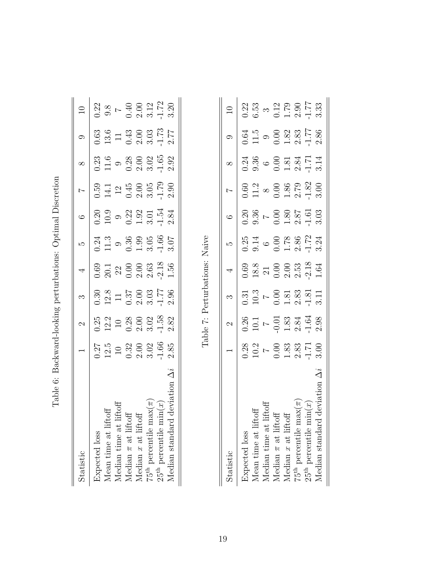| i<br>ı<br>ĺ<br>-<br>}<br>ו<br>ו<br>I<br>Ó<br>l                                                                                                                                   |  |
|----------------------------------------------------------------------------------------------------------------------------------------------------------------------------------|--|
| ֖֖֚֚֚֚֬<br>֧<br>くうく<br>)<br> <br> <br>ׇ֚֓֡<br>֖֖֖֖֖֖֧ׅ֖ׅ֖ׅ֖֧֖֧֖֧֪֪֧֪֪֪֧֪֪֪֪֪֪֪֪֪֪֪֪֪֪֪֪֪֪֪֪֪֪֪֪֪֪֚֚֚֚֚֚֚֚֚֚֚֚֚֚֚֚֚֚֚֚֚֚֚֚֚֚֚֚֬֝֝֬֝֓֞֝֬֝֓֞֝<br><b>SALES AND CONTRACT CONTRACT</b> |  |
| ()<br>)<br>)<br>í.<br>- そのこの<br>l<br>ļ<br>$\frac{1}{2}$<br>ĺ                                                                                                                     |  |
| )<br>}<br>}<br>I<br>ĺ<br>I                                                                                                                                                       |  |

<span id="page-18-0"></span>

| Statistic                                | $\overline{\phantom{0}}$                                                                                            | $\mathcal{C}$                                                                             | $\infty$                                                                                                                                            | $\overline{a}$                                                     | LQ                                                            | $\circ$                                                                             |                                                                 |                                                    |                                                                                                             | $\supseteq$                                                                       |
|------------------------------------------|---------------------------------------------------------------------------------------------------------------------|-------------------------------------------------------------------------------------------|-----------------------------------------------------------------------------------------------------------------------------------------------------|--------------------------------------------------------------------|---------------------------------------------------------------|-------------------------------------------------------------------------------------|-----------------------------------------------------------------|----------------------------------------------------|-------------------------------------------------------------------------------------------------------------|-----------------------------------------------------------------------------------|
| Expected loss                            |                                                                                                                     |                                                                                           |                                                                                                                                                     |                                                                    |                                                               |                                                                                     |                                                                 |                                                    |                                                                                                             |                                                                                   |
| ftoff<br>Aean time at lif                |                                                                                                                     |                                                                                           |                                                                                                                                                     |                                                                    |                                                               |                                                                                     |                                                                 |                                                    |                                                                                                             |                                                                                   |
| liftoff<br>Median time at                |                                                                                                                     |                                                                                           |                                                                                                                                                     |                                                                    |                                                               |                                                                                     |                                                                 |                                                    |                                                                                                             |                                                                                   |
| $\frac{4}{9}$<br>Median $\pi$ at lift    |                                                                                                                     |                                                                                           |                                                                                                                                                     |                                                                    |                                                               |                                                                                     |                                                                 |                                                    |                                                                                                             |                                                                                   |
| Median $x$ at lift                       | $\frac{0.27}{12.5}$<br>$\frac{10}{10}$<br>$\frac{32}{20}$<br>$\frac{30}{30}$<br>$\frac{30}{30}$<br>$\frac{166}{10}$ | $\begin{array}{c} 0.25 \\ 12.2 \\ 10 \\ 0.38 \\ 2.08 \\ 3.02 \\ 4.58 \\ 2.82 \end{array}$ | $\frac{0.30}{12.8}$<br>$\frac{1}{1}$<br>$\frac{1}{0.37}$<br>$\frac{3}{0.03}$<br>$\frac{3}{0.17}$<br>$\frac{1}{1}$<br>$\frac{1}{2}$<br>$\frac{3}{1}$ | $0.69$<br>$20.1$<br>$20.3$<br>$0.50$<br>$0.63$<br>$0.56$<br>$1.56$ | $0.\overline{24}$<br>11.3<br>9 .3.9<br>0.3.05<br>1.66<br>1.66 | $0.20$<br>10.9 $\circ$ 2.2 $3$<br>0.2 $3$<br>0.1 $\frac{1}{2}$<br>2.3 $\frac{3}{2}$ | $0.59$<br>14.1<br>12<br>13<br>0.45<br>2.05<br>3.05<br>1.7<br>2. | $0.23$<br>11.6<br>9 .2.8<br>0.2.02<br>4.65<br>2.92 | $\begin{array}{c} 0.63 \\ 13.6 \\ 1.3 \\ 0.43 \\ 0.3 \\ 0.3 \\ \textrm{and} \\ 2.77 \\ 2.77 \\ \end{array}$ | $0.22$<br>$9.8$<br>$\sim 4.3$<br>$0.31$<br>$0.172$<br>$0.32$<br>$0.172$<br>$0.32$ |
| $\max(\pi$<br>$75^{\rm th}$ percentile r |                                                                                                                     |                                                                                           |                                                                                                                                                     |                                                                    |                                                               |                                                                                     |                                                                 |                                                    |                                                                                                             |                                                                                   |
| $\min(x)$<br>$25^{\rm th}$ percentile r  |                                                                                                                     |                                                                                           |                                                                                                                                                     |                                                                    |                                                               |                                                                                     |                                                                 |                                                    |                                                                                                             |                                                                                   |
| Ä<br>l deviation<br>Median standar       | 2.85                                                                                                                |                                                                                           |                                                                                                                                                     |                                                                    |                                                               |                                                                                     |                                                                 |                                                    |                                                                                                             |                                                                                   |
|                                          |                                                                                                                     |                                                                                           |                                                                                                                                                     |                                                                    |                                                               |                                                                                     |                                                                 |                                                    |                                                                                                             |                                                                                   |

Table 7: Perturbations: Naive Table 7: Perturbations: Naive

<span id="page-18-1"></span>

| Statistic                                       |                                                                             | $\mathcal{Q}$                                                                              | <u>က</u>                                                                                    | $\overline{4}$                                                   | ro                                                                 | $\circ$                                                                     |                                                                                    | $\infty$                                                                                                                       |                                                 |                                                                             |
|-------------------------------------------------|-----------------------------------------------------------------------------|--------------------------------------------------------------------------------------------|---------------------------------------------------------------------------------------------|------------------------------------------------------------------|--------------------------------------------------------------------|-----------------------------------------------------------------------------|------------------------------------------------------------------------------------|--------------------------------------------------------------------------------------------------------------------------------|-------------------------------------------------|-----------------------------------------------------------------------------|
| Expected loss                                   |                                                                             |                                                                                            |                                                                                             |                                                                  |                                                                    |                                                                             |                                                                                    |                                                                                                                                |                                                 |                                                                             |
| Mean time at lift                               |                                                                             |                                                                                            |                                                                                             |                                                                  |                                                                    |                                                                             |                                                                                    |                                                                                                                                |                                                 |                                                                             |
| Median time at 1                                |                                                                             |                                                                                            |                                                                                             |                                                                  |                                                                    |                                                                             |                                                                                    |                                                                                                                                |                                                 |                                                                             |
| Median $\pi$ at liftc                           | $\begin{array}{c} 0.28 \\ 10.2 \\ 0.83 \\ 0.33 \\ 1.71 \\ 3.00 \end{array}$ | $\begin{array}{c} 0.26 \\ 10.1 \\ 7 \\ -0.01 \\ 1.83 \\ 2.34 \\ -1.64 \\ 2.98 \end{array}$ | $\begin{array}{c} 0.31 \\ 10.3 \\ 0.81 \\ 0.83 \\ 1.81 \\ 2.83 \\ 1.11 \\ 3.11 \end{array}$ | $0.69$<br>18.8<br>21 0.00 0.00 8<br>2.13<br>2.13<br>2.15<br>1.64 | $0.25$<br>$0.14$<br>$0.08$<br>$0.72$<br>$0.72$<br>$0.72$<br>$0.74$ | $0.36$<br>$0.36$<br>$0.58$<br>$0.58$<br>$0.51$<br>$0.53$<br>$0.33$<br>$0.3$ | $0.60$<br>$11.2$<br>$8$<br>$0.00$<br>$1.82$<br>$0.7$<br>$0.82$<br>$1.82$<br>$3.00$ | $0.34$<br>$0.56$<br>$0.54$<br>$0.54$<br>$0.54$<br>$0.54$<br>$0.54$<br>$0.54$<br>$0.54$<br>$0.54$<br>$0.54$<br>$0.54$<br>$0.54$ | $0.64$<br>11.5<br>0.623<br>0.83<br>1.77<br>2.86 | $0.22$<br>$6.53$<br>$0.17$<br>$0.17$<br>$0.3$<br>$0.53$<br>$0.77$<br>$0.33$ |
| Median $x$ at liftc                             |                                                                             |                                                                                            |                                                                                             |                                                                  |                                                                    |                                                                             |                                                                                    |                                                                                                                                |                                                 |                                                                             |
| $\text{max}(\pi)$<br>$75^{\rm th}$ percentile m |                                                                             |                                                                                            |                                                                                             |                                                                  |                                                                    |                                                                             |                                                                                    |                                                                                                                                |                                                 |                                                                             |
| $25^{\rm th}$ percentile mi                     |                                                                             |                                                                                            |                                                                                             |                                                                  |                                                                    |                                                                             |                                                                                    |                                                                                                                                |                                                 |                                                                             |
| ⊲ଁ<br>Median standard                           |                                                                             |                                                                                            |                                                                                             |                                                                  |                                                                    |                                                                             |                                                                                    |                                                                                                                                |                                                 |                                                                             |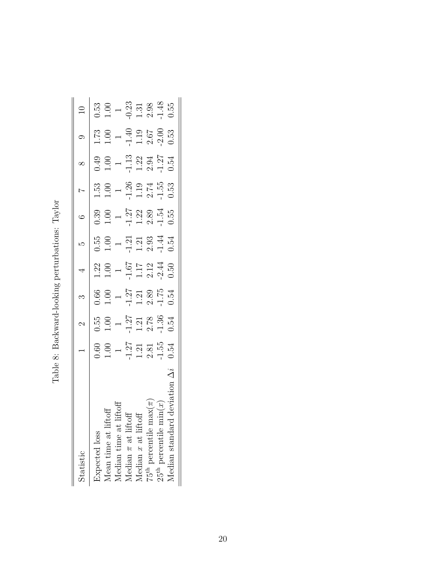| $\frac{1}{1}$<br>۱<br>١<br>ŀ                                                                                                                                       |  |
|--------------------------------------------------------------------------------------------------------------------------------------------------------------------|--|
| --------<br>j<br>ا<br>ׇ֚֘<br>istantial modern in the l<br>ׇ֚֕֡<br>ı                                                                                                |  |
| ׅׅ֧֧֧֧֧֧֧֛֪ׅ֧֛֛֪ׅ֧֧֧֛֪ׅ֧֛֪ׅ֧֛֛֪ׅ֧֧֧֧֛֛֪ׅ֧֛֛֛֛֛֛֛֛֛֛֛֛֛֛֛֛֛֛֛֛֛֚֚֚֚֚֚֚֚֚֚֚֚֚֚֚֬֕֕֝֬֝֕֕֝֕֓֝֬֝֓֝֬֝֓֝֬֓֓֓֝֬֓֓֓֬֬<br>֧֧֛֧֛֛֛֛֛֛֛֛֛֛֛֛֜֘֜֓֜֜<br>i<br>ı<br>Ś<br>֚֘֝֬<br>ſ |  |
| C                                                                                                                                                                  |  |
| ۱<br>$\frac{1}{2}$                                                                                                                                                 |  |

<span id="page-19-0"></span>

| Statistic                                   | $\overline{\phantom{0}}$                                  | $\mathcal{C}$                                        |                                                                                       | $\overline{4}$                                                                  | LO                                                       |                                                                    |                                                      |                                                                     |                                                      |                                                                         |
|---------------------------------------------|-----------------------------------------------------------|------------------------------------------------------|---------------------------------------------------------------------------------------|---------------------------------------------------------------------------------|----------------------------------------------------------|--------------------------------------------------------------------|------------------------------------------------------|---------------------------------------------------------------------|------------------------------------------------------|-------------------------------------------------------------------------|
| Expected loss                               |                                                           |                                                      |                                                                                       |                                                                                 |                                                          |                                                                    |                                                      |                                                                     |                                                      |                                                                         |
| Mean time at liftoff                        |                                                           |                                                      |                                                                                       |                                                                                 |                                                          |                                                                    |                                                      |                                                                     |                                                      |                                                                         |
| Median time at                              |                                                           |                                                      |                                                                                       |                                                                                 |                                                          |                                                                    |                                                      |                                                                     |                                                      |                                                                         |
| 迫<br>Median $\pi$ at lift                   | $0.60$<br>1.00 $1$<br>1.21 $2$<br>1.21 $3$<br>1.54 $1.51$ | 0.55<br>1.00<br>1.27<br>1.21<br>2.78<br>3.54<br>1.31 | $\begin{array}{c} 0.66 \\ 1.00 \\ -1.27 \\ 1.21 \\ 2.89 \\ -1.75 \\ 0.54 \end{array}$ | $\begin{array}{c} 1.22 \\ 1.00 \\ -1.67 \\ 1.17 \\ 2.12 \\ 0.50 \\ \end{array}$ | $0.55$<br>$1.21$<br>$1.21$<br>$1.21$<br>$0.54$<br>$1.44$ | $0.39$<br>$1.27$<br>$1.23$<br>$1.32$<br>$1.54$<br>$1.55$<br>$1.55$ | 1.53<br>1.00<br>1.26<br>1.19<br>1.55<br>1.53<br>0.53 | $0.49$<br>$1.00$<br>$1.13$<br>$1.22$<br>$1.354$<br>$1.27$<br>$1.34$ | 1.73<br>1.00<br>1.40<br>1.19<br>2.67<br>2.00<br>3.53 | $0.53$<br>$1.00$<br>$-1.31$<br>$-1.31$<br>$-1.48$<br>$-1.55$<br>$-1.55$ |
| Median $x$ at liftc                         |                                                           |                                                      |                                                                                       |                                                                                 |                                                          |                                                                    |                                                      |                                                                     |                                                      |                                                                         |
| $\exp(\pi)$<br>$75^{\rm th}$ percentile m   |                                                           |                                                      |                                                                                       |                                                                                 |                                                          |                                                                    |                                                      |                                                                     |                                                      |                                                                         |
| $25^{\text{th}}$ percentile $\min(x)$       |                                                           |                                                      |                                                                                       |                                                                                 |                                                          |                                                                    |                                                      |                                                                     |                                                      |                                                                         |
| $\overline{100}$<br>devi<br>Median standard |                                                           |                                                      |                                                                                       |                                                                                 |                                                          |                                                                    |                                                      |                                                                     |                                                      |                                                                         |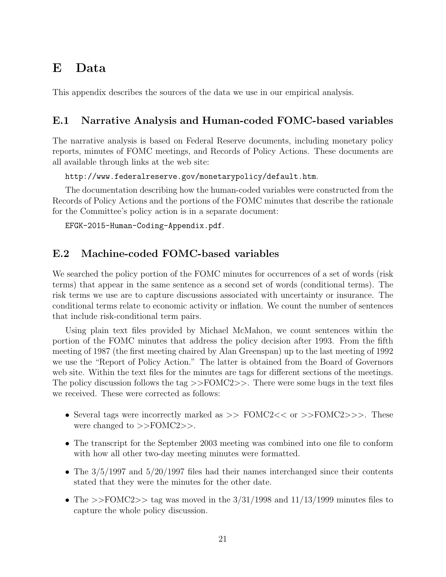## E Data

This appendix describes the sources of the data we use in our empirical analysis.

### E.1 Narrative Analysis and Human-coded FOMC-based variables

The narrative analysis is based on Federal Reserve documents, including monetary policy reports, minutes of FOMC meetings, and Records of Policy Actions. These documents are all available through links at the web site:

```
http://www.federalreserve.gov/monetarypolicy/default.htm.
```
The documentation describing how the human-coded variables were constructed from the Records of Policy Actions and the portions of the FOMC minutes that describe the rationale for the Committee's policy action is in a separate document:

```
EFGK-2015-Human-Coding-Appendix.pdf.
```
### E.2 Machine-coded FOMC-based variables

We searched the policy portion of the FOMC minutes for occurrences of a set of words (risk terms) that appear in the same sentence as a second set of words (conditional terms). The risk terms we use are to capture discussions associated with uncertainty or insurance. The conditional terms relate to economic activity or inflation. We count the number of sentences that include risk-conditional term pairs.

Using plain text files provided by Michael McMahon, we count sentences within the portion of the FOMC minutes that address the policy decision after 1993. From the fifth meeting of 1987 (the first meeting chaired by Alan Greenspan) up to the last meeting of 1992 we use the "Report of Policy Action." The latter is obtained from the Board of Governors web site. Within the text files for the minutes are tags for different sections of the meetings. The policy discussion follows the tag  $\geq$ FOMC2 $\geq$ . There were some bugs in the text files we received. These were corrected as follows:

- Several tags were incorrectly marked as  $\gg$  FOMC2 << or  $\gg$  FOMC2 $\gg$ . These were changed to >>FOMC2>>.
- The transcript for the September 2003 meeting was combined into one file to conform with how all other two-day meeting minutes were formatted.
- The  $3/5/1997$  and  $5/20/1997$  files had their names interchanged since their contents stated that they were the minutes for the other date.
- The  $>>FOMC2>>$  tag was moved in the  $3/31/1998$  and  $11/13/1999$  minutes files to capture the whole policy discussion.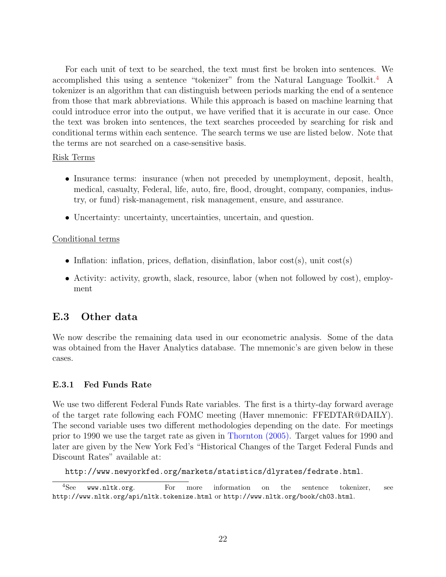For each unit of text to be searched, the text must first be broken into sentences. We accomplished this using a sentence "tokenizer" from the Natural Language Toolkit.[4](#page-0-0) A tokenizer is an algorithm that can distinguish between periods marking the end of a sentence from those that mark abbreviations. While this approach is based on machine learning that could introduce error into the output, we have verified that it is accurate in our case. Once the text was broken into sentences, the text searches proceeded by searching for risk and conditional terms within each sentence. The search terms we use are listed below. Note that the terms are not searched on a case-sensitive basis.

#### Risk Terms

- Insurance terms: insurance (when not preceded by unemployment, deposit, health, medical, casualty, Federal, life, auto, fire, flood, drought, company, companies, industry, or fund) risk-management, risk management, ensure, and assurance.
- Uncertainty: uncertainty, uncertainties, uncertain, and question.

### Conditional terms

- Inflation: inflation, prices, deflation, disinflation, labor cost(s), unit cost(s)
- Activity: activity, growth, slack, resource, labor (when not followed by cost), employment

## E.3 Other data

We now describe the remaining data used in our econometric analysis. Some of the data was obtained from the Haver Analytics database. The mnemonic's are given below in these cases.

### E.3.1 Fed Funds Rate

We use two different Federal Funds Rate variables. The first is a thirty-day forward average of the target rate following each FOMC meeting (Haver mnemonic: FFEDTAR@DAILY). The second variable uses two different methodologies depending on the date. For meetings prior to 1990 we use the target rate as given in [Thornton](#page-26-1) [\(2005\)](#page-26-1). Target values for 1990 and later are given by the New York Fed's "Historical Changes of the Target Federal Funds and Discount Rates" available at:

http://www.newyorkfed.org/markets/statistics/dlyrates/fedrate.html.

<sup>4</sup>See www.nltk.org. For more information on the sentence tokenizer, see http://www.nltk.org/api/nltk.tokenize.html or http://www.nltk.org/book/ch03.html.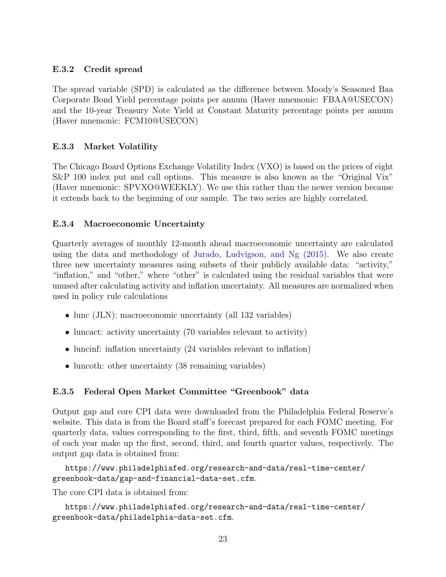### E.3.2 Credit spread

The spread variable (SPD) is calculated as the difference between Moody's Seasoned Baa Corporate Bond Yield percentage points per annum (Haver mnemonic: FBAA@USECON) and the 10-year Treasury Note Yield at Constant Maturity percentage points per annum (Haver mnemonic: FCM10@USECON)

### E.3.3 Market Volatility

The Chicago Board Options Exchange Volatility Index (VXO) is based on the prices of eight S&P 100 index put and call options. This measure is also known as the "Original Vix" (Haver mnemonic: SPVXO@WEEKLY). We use this rather than the newer version because it extends back to the beginning of our sample. The two series are highly correlated.

### E.3.4 Macroeconomic Uncertainty

Quarterly averages of monthly 12-month ahead macroeconomic uncertainty are calculated using the data and methodology of [Jurado, Ludvigson, and Ng](#page-26-2) [\(2015\)](#page-26-2). We also create three new uncertainty measures using subsets of their publicly available data: "activity," "inflation," and "other," where "other" is calculated using the residual variables that were unused after calculating activity and inflation uncertainty. All measures are normalized when used in policy rule calculations

- lunc (JLN): macroeconomic uncertainty (all 132 variables)
- luncact: activity uncertainty (70 variables relevant to activity)
- luncinf: inflation uncertainty (24 variables relevant to inflation)
- luncoth: other uncertainty (38 remaining variables)

### E.3.5 Federal Open Market Committee "Greenbook" data

Output gap and core CPI data were downloaded from the Philadelphia Federal Reserve's website. This data is from the Board staff's forecast prepared for each FOMC meeting. For quarterly data, values corresponding to the first, third, fifth, and seventh FOMC meetings of each year make up the first, second, third, and fourth quarter values, respectively. The output gap data is obtained from:

https://www.philadelphiafed.org/research-and-data/real-time-center/ greenbook-data/gap-and-financial-data-set.cfm.

The core CPI data is obtained from:

```
https://www.philadelphiafed.org/research-and-data/real-time-center/
greenbook-data/philadelphia-data-set.cfm.
```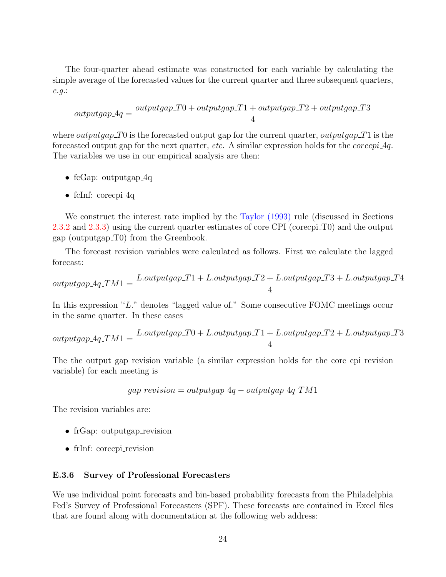The four-quarter ahead estimate was constructed for each variable by calculating the simple average of the forecasted values for the current quarter and three subsequent quarters, e.g.:

$$
output gap\_4q = \frac{output gap\_T0 + output gap\_T1 + output gap\_T2 + output gap\_T3}{4}
$$

where *outputgap* T<sub>0</sub> is the forecasted output gap for the current quarter, *outputgap* T<sub>1</sub> is the forecasted output gap for the next quarter, etc. A similar expression holds for the corecpi 4q. The variables we use in our empirical analysis are then:

- fcGap: outputgap\_4q
- fcInf: corecpi $-4q$

We construct the interest rate implied by the [Taylor](#page-26-3) [\(1993\)](#page-26-3) rule (discussed in Sections [2.3.2](#page-0-0) and [2.3.3\)](#page-0-0) using the current quarter estimates of core CPI (corecpi T0) and the output gap (outputgap T0) from the Greenbook.

The forecast revision variables were calculated as follows. First we calculate the lagged forecast:

$$
output gap \_4q\_TM1 = \frac{L.outputgap\_T1 + L.outputgap\_T2 + L.outputgap\_T3 + L.outputgap\_T4}{4}
$$

In this expression "L." denotes "lagged value of." Some consecutive FOMC meetings occur in the same quarter. In these cases

$$
output gap \_4q\_TM1 = \frac{L.outputgap\_T0 + L.outputgap\_T1 + L.outputgap\_T2 + L.outputgap\_T3}{4}
$$

The the output gap revision variable (a similar expression holds for the core cpi revision variable) for each meeting is

$$
gap\_revision = outputgap\_4q - outputgap\_4q\_TM1
$$

The revision variables are:

- frGap: outputgap\_revision
- frInf: corecpi\_revision

#### E.3.6 Survey of Professional Forecasters

We use individual point forecasts and bin-based probability forecasts from the Philadelphia Fed's Survey of Professional Forecasters (SPF). These forecasts are contained in Excel files that are found along with documentation at the following web address: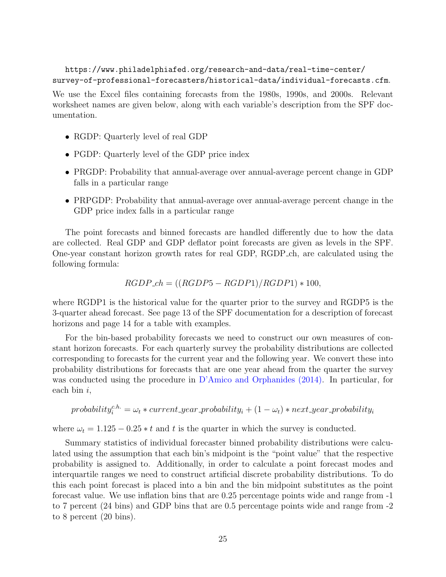https://www.philadelphiafed.org/research-and-data/real-time-center/ survey-of-professional-forecasters/historical-data/individual-forecasts.cfm.

We use the Excel files containing forecasts from the 1980s, 1990s, and 2000s. Relevant worksheet names are given below, along with each variable's description from the SPF documentation.

- RGDP: Quarterly level of real GDP
- PGDP: Quarterly level of the GDP price index
- PRGDP: Probability that annual-average over annual-average percent change in GDP falls in a particular range
- PRPGDP: Probability that annual-average over annual-average percent change in the GDP price index falls in a particular range

The point forecasts and binned forecasts are handled differently due to how the data are collected. Real GDP and GDP deflator point forecasts are given as levels in the SPF. One-year constant horizon growth rates for real GDP, RGDP ch, are calculated using the following formula:

$$
RGDP\_ch = ((RGDP5 - RGDP1)/RGDP1) * 100,
$$

where RGDP1 is the historical value for the quarter prior to the survey and RGDP5 is the 3-quarter ahead forecast. See page 13 of the SPF documentation for a description of forecast horizons and page 14 for a table with examples.

For the bin-based probability forecasts we need to construct our own measures of constant horizon forecasts. For each quarterly survey the probability distributions are collected corresponding to forecasts for the current year and the following year. We convert these into probability distributions for forecasts that are one year ahead from the quarter the survey was conducted using the procedure in [D'Amico and Orphanides](#page-26-4) [\(2014\)](#page-26-4). In particular, for each bin  $i$ ,

$$
probability_i^{c.h.} = \omega_t * current\_year\_probability_i + (1 - \omega_t) * next\_year\_probability_i
$$

where  $\omega_t = 1.125 - 0.25 * t$  and t is the quarter in which the survey is conducted.

Summary statistics of individual forecaster binned probability distributions were calculated using the assumption that each bin's midpoint is the "point value" that the respective probability is assigned to. Additionally, in order to calculate a point forecast modes and interquartile ranges we need to construct artificial discrete probability distributions. To do this each point forecast is placed into a bin and the bin midpoint substitutes as the point forecast value. We use inflation bins that are 0.25 percentage points wide and range from -1 to 7 percent (24 bins) and GDP bins that are 0.5 percentage points wide and range from -2 to 8 percent (20 bins).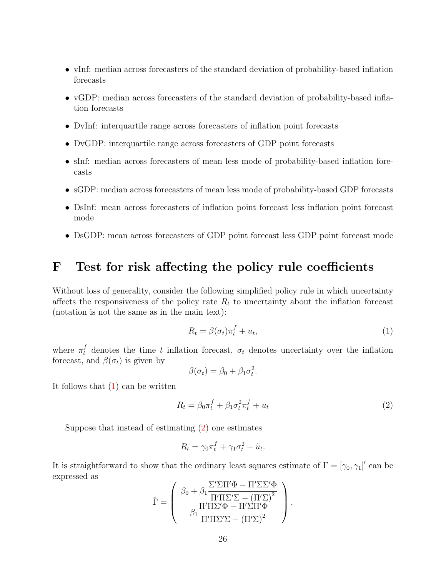- vInf: median across forecasters of the standard deviation of probability-based inflation forecasts
- vGDP: median across forecasters of the standard deviation of probability-based inflation forecasts
- DvInf: interquartile range across forecasters of inflation point forecasts
- DvGDP: interquartile range across forecasters of GDP point forecasts
- sInf: median across forecasters of mean less mode of probability-based inflation forecasts
- sGDP: median across forecasters of mean less mode of probability-based GDP forecasts
- DsInf: mean across forecasters of inflation point forecast less inflation point forecast mode
- DsGDP: mean across forecasters of GDP point forecast less GDP point forecast mode

## F Test for risk affecting the policy rule coefficients

Without loss of generality, consider the following simplified policy rule in which uncertainty affects the responsiveness of the policy rate  $R_t$  to uncertainty about the inflation forecast (notation is not the same as in the main text):

<span id="page-25-0"></span>
$$
R_t = \beta(\sigma_t)\pi_t^f + u_t,\tag{1}
$$

where  $\pi_t^f$  denotes the time t inflation forecast,  $\sigma_t$  denotes uncertainty over the inflation forecast, and  $\beta(\sigma_t)$  is given by

$$
\beta(\sigma_t) = \beta_0 + \beta_1 \sigma_t^2.
$$

It follows that [\(1\)](#page-25-0) can be written

<span id="page-25-1"></span>
$$
R_t = \beta_0 \pi_t^f + \beta_1 \sigma_t^2 \pi_t^f + u_t \tag{2}
$$

Suppose that instead of estimating [\(2\)](#page-25-1) one estimates

$$
R_t = \gamma_0 \pi_t^f + \gamma_1 \sigma_t^2 + \tilde{u}_t.
$$

It is straightforward to show that the ordinary least squares estimate of  $\Gamma = [\gamma_0, \gamma_1]'$  can be expressed as

$$
\hat{\Gamma} = \left(\begin{array}{c} \beta_0 + \beta_1\frac{\Sigma'\Sigma\Pi'\Phi-\Pi'\Sigma\Sigma'\Phi}{\Pi'\Pi\Sigma'\Sigma-\left(\Pi'\Sigma\right)^2}\\ \beta_1\frac{\Pi'\Pi\Sigma'\Phi-\Pi'\Sigma\Pi'\Phi}{\Pi'\Pi\Sigma'\Sigma-\left(\Pi'\Sigma\right)^2} \end{array}\right),
$$